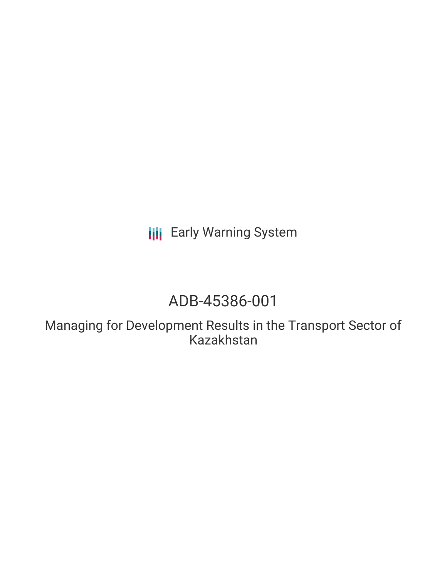**III** Early Warning System

# ADB-45386-001

Managing for Development Results in the Transport Sector of Kazakhstan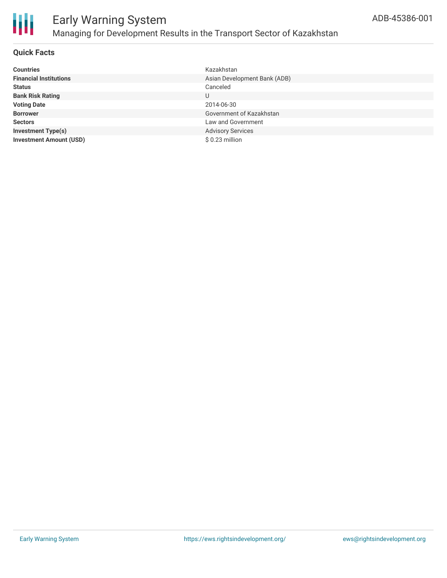

### Early Warning System Managing for Development Results in the Transport Sector of Kazakhstan

#### **Quick Facts**

| <b>Countries</b>               | Kazakhstan                   |
|--------------------------------|------------------------------|
| <b>Financial Institutions</b>  | Asian Development Bank (ADB) |
| <b>Status</b>                  | Canceled                     |
| <b>Bank Risk Rating</b>        | U                            |
| <b>Voting Date</b>             | 2014-06-30                   |
| <b>Borrower</b>                | Government of Kazakhstan     |
| <b>Sectors</b>                 | Law and Government           |
| <b>Investment Type(s)</b>      | <b>Advisory Services</b>     |
| <b>Investment Amount (USD)</b> | \$0.23 million               |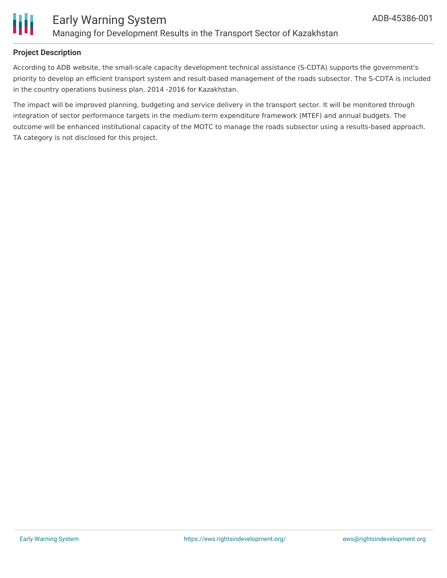

#### **Project Description**

According to ADB website, the small-scale capacity development technical assistance (S-CDTA) supports the government's priority to develop an efficient transport system and result-based management of the roads subsector. The S-CDTA is included in the country operations business plan, 2014 -2016 for Kazakhstan.

The impact will be improved planning, budgeting and service delivery in the transport sector. It will be monitored through integration of sector performance targets in the medium-term expenditure framework (MTEF) and annual budgets. The outcome will be enhanced institutional capacity of the MOTC to manage the roads subsector using a results-based approach. TA category is not disclosed for this project.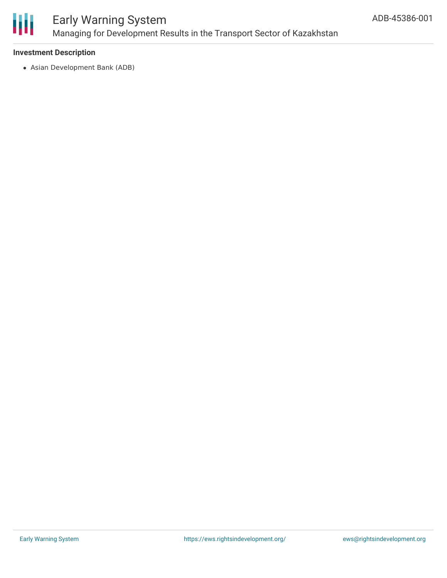

## Early Warning System Managing for Development Results in the Transport Sector of Kazakhstan

#### **Investment Description**

Asian Development Bank (ADB)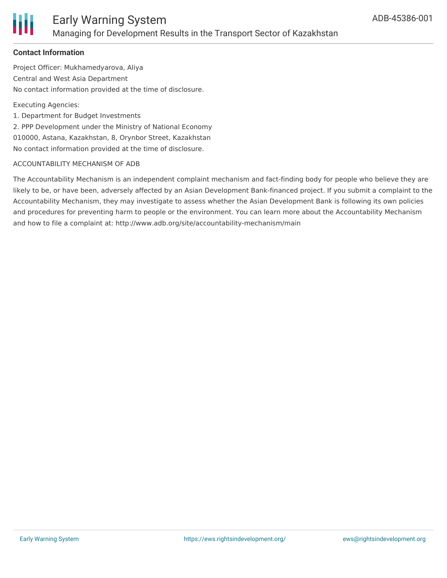

#### **Contact Information**

Project Officer: Mukhamedyarova, Aliya Central and West Asia Department No contact information provided at the time of disclosure.

Executing Agencies:

1. Department for Budget Investments

2. PPP Development under the Ministry of National Economy 010000, Astana, Kazakhstan, 8, Orynbor Street, Kazakhstan No contact information provided at the time of disclosure.

#### ACCOUNTABILITY MECHANISM OF ADB

The Accountability Mechanism is an independent complaint mechanism and fact-finding body for people who believe they are likely to be, or have been, adversely affected by an Asian Development Bank-financed project. If you submit a complaint to the Accountability Mechanism, they may investigate to assess whether the Asian Development Bank is following its own policies and procedures for preventing harm to people or the environment. You can learn more about the Accountability Mechanism and how to file a complaint at: http://www.adb.org/site/accountability-mechanism/main